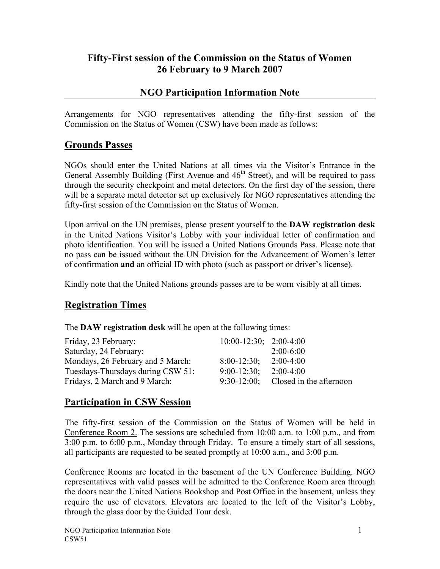### **Fifty-First session of the Commission on the Status of Women 26 February to 9 March 2007**

### **NGO Participation Information Note**

Arrangements for NGO representatives attending the fifty-first session of the Commission on the Status of Women (CSW) have been made as follows:

### **Grounds Passes**

NGOs should enter the United Nations at all times via the Visitor's Entrance in the General Assembly Building (First Avenue and  $46<sup>th</sup>$  Street), and will be required to pass through the security checkpoint and metal detectors. On the first day of the session, there will be a separate metal detector set up exclusively for NGO representatives attending the fifty-first session of the Commission on the Status of Women.

Upon arrival on the UN premises, please present yourself to the **DAW registration desk** in the United Nations Visitor's Lobby with your individual letter of confirmation and photo identification. You will be issued a United Nations Grounds Pass. Please note that no pass can be issued without the UN Division for the Advancement of Women's letter of confirmation **and** an official ID with photo (such as passport or driver's license).

Kindly note that the United Nations grounds passes are to be worn visibly at all times.

### **Registration Times**

The **DAW registration desk** will be open at the following times:

| Friday, 23 February:              | $10:00-12:30$ ; $2:00-4:00$ |                                        |
|-----------------------------------|-----------------------------|----------------------------------------|
| Saturday, 24 February:            |                             | $2:00-6:00$                            |
| Mondays, 26 February and 5 March: | $8:00-12:30$ ;              | $2:00-4:00$                            |
| Tuesdays-Thursdays during CSW 51: | $9:00-12:30$ ;              | $2:00-4:00$                            |
| Fridays, 2 March and 9 March:     |                             | $9:30-12:00$ ; Closed in the afternoon |

### **Participation in CSW Session**

The fifty-first session of the Commission on the Status of Women will be held in Conference Room 2. The sessions are scheduled from 10:00 a.m. to 1:00 p.m., and from 3:00 p.m. to 6:00 p.m., Monday through Friday. To ensure a timely start of all sessions, all participants are requested to be seated promptly at 10:00 a.m., and 3:00 p.m.

Conference Rooms are located in the basement of the UN Conference Building. NGO representatives with valid passes will be admitted to the Conference Room area through the doors near the United Nations Bookshop and Post Office in the basement, unless they require the use of elevators. Elevators are located to the left of the Visitor's Lobby, through the glass door by the Guided Tour desk.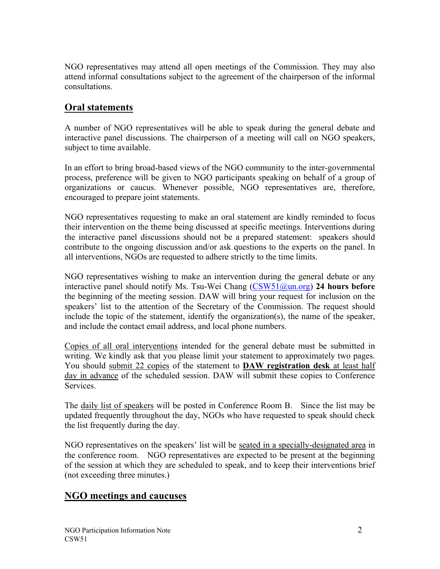NGO representatives may attend all open meetings of the Commission. They may also attend informal consultations subject to the agreement of the chairperson of the informal consultations.

## **Oral statements**

A number of NGO representatives will be able to speak during the general debate and interactive panel discussions. The chairperson of a meeting will call on NGO speakers, subject to time available.

In an effort to bring broad-based views of the NGO community to the inter-governmental process, preference will be given to NGO participants speaking on behalf of a group of organizations or caucus. Whenever possible, NGO representatives are, therefore, encouraged to prepare joint statements.

NGO representatives requesting to make an oral statement are kindly reminded to focus their intervention on the theme being discussed at specific meetings. Interventions during the interactive panel discussions should not be a prepared statement: speakers should contribute to the ongoing discussion and/or ask questions to the experts on the panel. In all interventions, NGOs are requested to adhere strictly to the time limits.

NGO representatives wishing to make an intervention during the general debate or any interactive panel should notify Ms. Tsu-Wei Chang (CSW51@un.org) **24 hours before** the beginning of the meeting session. DAW will bring your request for inclusion on the speakers' list to the attention of the Secretary of the Commission. The request should include the topic of the statement, identify the organization(s), the name of the speaker, and include the contact email address, and local phone numbers.

Copies of all oral interventions intended for the general debate must be submitted in writing. We kindly ask that you please limit your statement to approximately two pages. You should submit 22 copies of the statement to **DAW registration desk** at least half day in advance of the scheduled session. DAW will submit these copies to Conference **Services** 

The daily list of speakers will be posted in Conference Room B. Since the list may be updated frequently throughout the day, NGOs who have requested to speak should check the list frequently during the day.

NGO representatives on the speakers' list will be seated in a specially-designated area in the conference room. NGO representatives are expected to be present at the beginning of the session at which they are scheduled to speak, and to keep their interventions brief (not exceeding three minutes.)

### **NGO meetings and caucuses**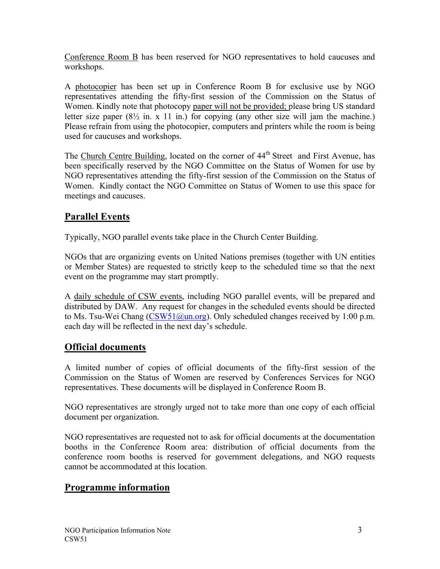Conference Room B has been reserved for NGO representatives to hold caucuses and workshops.

A photocopier has been set up in Conference Room B for exclusive use by NGO representatives attending the fifty-first session of the Commission on the Status of Women. Kindly note that photocopy paper will not be provided; please bring US standard letter size paper  $(8\frac{1}{2}$  in. x 11 in.) for copying (any other size will jam the machine.) Please refrain from using the photocopier, computers and printers while the room is being used for caucuses and workshops.

The Church Centre Building, located on the corner of 44<sup>th</sup> Street and First Avenue, has been specifically reserved by the NGO Committee on the Status of Women for use by NGO representatives attending the fifty-first session of the Commission on the Status of Women. Kindly contact the NGO Committee on Status of Women to use this space for meetings and caucuses.

# **Parallel Events**

Typically, NGO parallel events take place in the Church Center Building.

NGOs that are organizing events on United Nations premises (together with UN entities or Member States) are requested to strictly keep to the scheduled time so that the next event on the programme may start promptly.

A daily schedule of CSW events, including NGO parallel events, will be prepared and distributed by DAW. Any request for changes in the scheduled events should be directed to Ms. Tsu-Wei Chang  $(CSW51@un.org)$ . Only scheduled changes received by 1:00 p.m. each day will be reflected in the next day's schedule.

## **Official documents**

A limited number of copies of official documents of the fifty-first session of the Commission on the Status of Women are reserved by Conferences Services for NGO representatives. These documents will be displayed in Conference Room B.

NGO representatives are strongly urged not to take more than one copy of each official document per organization.

NGO representatives are requested not to ask for official documents at the documentation booths in the Conference Room area: distribution of official documents from the conference room booths is reserved for government delegations, and NGO requests cannot be accommodated at this location.

# **Programme information**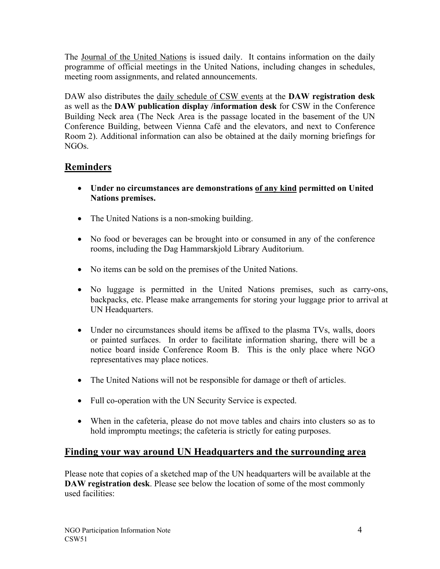The Journal of the United Nations is issued daily. It contains information on the daily programme of official meetings in the United Nations, including changes in schedules, meeting room assignments, and related announcements.

DAW also distributes the daily schedule of CSW events at the **DAW registration desk** as well as the **DAW publication display /information desk** for CSW in the Conference Building Neck area (The Neck Area is the passage located in the basement of the UN Conference Building, between Vienna Café and the elevators, and next to Conference Room 2). Additional information can also be obtained at the daily morning briefings for NGOs.

### **Reminders**

- **Under no circumstances are demonstrations of any kind permitted on United Nations premises.**
- The United Nations is a non-smoking building.
- No food or beverages can be brought into or consumed in any of the conference rooms, including the Dag Hammarskjold Library Auditorium.
- No items can be sold on the premises of the United Nations.
- No luggage is permitted in the United Nations premises, such as carry-ons, backpacks, etc. Please make arrangements for storing your luggage prior to arrival at UN Headquarters.
- Under no circumstances should items be affixed to the plasma TVs, walls, doors or painted surfaces. In order to facilitate information sharing, there will be a notice board inside Conference Room B. This is the only place where NGO representatives may place notices.
- The United Nations will not be responsible for damage or theft of articles.
- Full co-operation with the UN Security Service is expected.
- When in the cafeteria, please do not move tables and chairs into clusters so as to hold impromptu meetings; the cafeteria is strictly for eating purposes.

### **Finding your way around UN Headquarters and the surrounding area**

Please note that copies of a sketched map of the UN headquarters will be available at the **DAW registration desk**. Please see below the location of some of the most commonly used facilities: